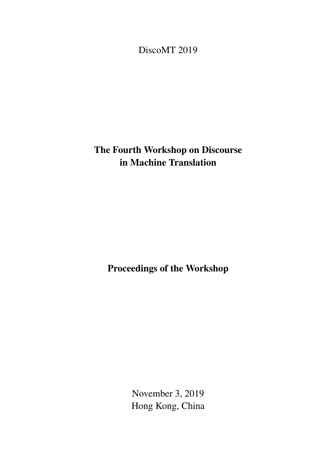<span id="page-0-0"></span>DiscoMT 2019

# The Fourth Workshop on Discourse in Machine Translation

Proceedings of the Workshop

November 3, 2019 Hong Kong, China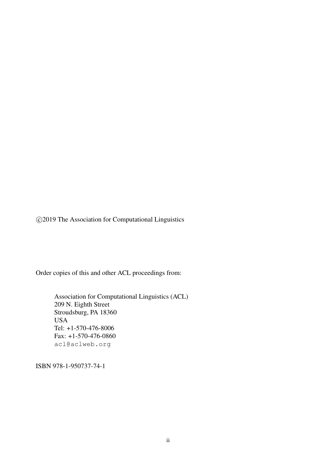c 2019 The Association for Computational Linguistics

Order copies of this and other ACL proceedings from:

Association for Computational Linguistics (ACL) 209 N. Eighth Street Stroudsburg, PA 18360 USA Tel: +1-570-476-8006 Fax: +1-570-476-0860 acl@aclweb.org

ISBN 978-1-950737-74-1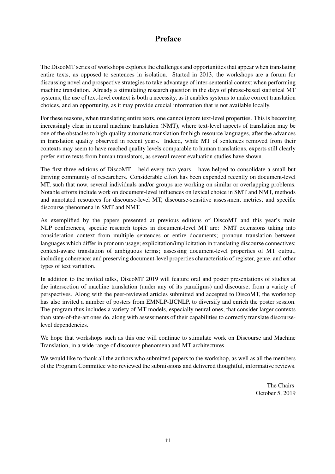## Preface

The DiscoMT series of workshops explores the challenges and opportunities that appear when translating entire texts, as opposed to sentences in isolation. Started in 2013, the workshops are a forum for discussing novel and prospective strategies to take advantage of inter-sentential context when performing machine translation. Already a stimulating research question in the days of phrase-based statistical MT systems, the use of text-level context is both a necessity, as it enables systems to make correct translation choices, and an opportunity, as it may provide crucial information that is not available locally.

For these reasons, when translating entire texts, one cannot ignore text-level properties. This is becoming increasingly clear in neural machine translation (NMT), where text-level aspects of translation may be one of the obstacles to high-quality automatic translation for high-resource languages, after the advances in translation quality observed in recent years. Indeed, while MT of sentences removed from their contexts may seem to have reached quality levels comparable to human translations, experts still clearly prefer entire texts from human translators, as several recent evaluation studies have shown.

The first three editions of DiscoMT – held every two years – have helped to consolidate a small but thriving community of researchers. Considerable effort has been expended recently on document-level MT, such that now, several individuals and/or groups are working on similar or overlapping problems. Notable efforts include work on document-level influences on lexical choice in SMT and NMT, methods and annotated resources for discourse-level MT, discourse-sensitive assessment metrics, and specific discourse phenomena in SMT and NMT.

As exemplified by the papers presented at previous editions of DiscoMT and this year's main NLP conferences, specific research topics in document-level MT are: NMT extensions taking into consideration context from multiple sentences or entire documents; pronoun translation between languages which differ in pronoun usage; explicitation/implicitation in translating discourse connectives; context-aware translation of ambiguous terms; assessing document-level properties of MT output, including coherence; and preserving document-level properties characteristic of register, genre, and other types of text variation.

In addition to the invited talks, DiscoMT 2019 will feature oral and poster presentations of studies at the intersection of machine translation (under any of its paradigms) and discourse, from a variety of perspectives. Along with the peer-reviewed articles submitted and accepted to DiscoMT, the workshop has also invited a number of posters from EMNLP-IJCNLP, to diversify and enrich the poster session. The program thus includes a variety of MT models, especially neural ones, that consider larger contexts than state-of-the-art ones do, along with assessments of their capabilities to correctly translate discourselevel dependencies.

We hope that workshops such as this one will continue to stimulate work on Discourse and Machine Translation, in a wide range of discourse phenomena and MT architectures.

We would like to thank all the authors who submitted papers to the workshop, as well as all the members of the Program Committee who reviewed the submissions and delivered thoughtful, informative reviews.

> The Chairs October 5, 2019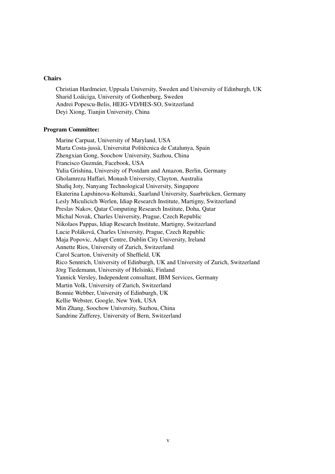#### **Chairs**

Christian Hardmeier, Uppsala University, Sweden and University of Edinburgh, UK Sharid Loáiciga, University of Gothenburg, Sweden Andrei Popescu-Belis, HEIG-VD/HES-SO, Switzerland Deyi Xiong, Tianjin University, China

#### Program Committee:

Marine Carpuat, University of Maryland, USA Marta Costa-jussà, Universitat Politècnica de Catalunya, Spain Zhengxian Gong, Soochow University, Suzhou, China Francisco Guzmán, Facebook, USA Yulia Grishina, University of Postdam and Amazon, Berlin, Germany Gholamreza Haffari, Monash University, Clayton, Australia Shafiq Joty, Nanyang Technological University, Singapore Ekaterina Lapshinova-Koltunski, Saarland University, Saarbrücken, Germany Lesly Miculicich Werlen, Idiap Research Institute, Martigny, Switzerland Preslav Nakov, Qatar Computing Research Institute, Doha, Qatar Michal Novak, Charles University, Prague, Czech Republic Nikolaos Pappas, Idiap Research Institute, Martigny, Switzerland Lucie Poláková, Charles University, Prague, Czech Republic Maja Popovic, Adapt Centre, Dublin City University, Ireland Annette Rios, University of Zurich, Switzerland Carol Scarton, University of Sheffield, UK Rico Sennrich, University of Edinburgh, UK and University of Zurich, Switzerland Jörg Tiedemann, University of Helsinki, Finland Yannick Versley, Independent consultant, IBM Services, Germany Martin Volk, University of Zurich, Switzerland Bonnie Webber, University of Edinburgh, UK Kellie Webster, Google, New York, USA Min Zhang, Soochow University, Suzhou, China Sandrine Zufferey, University of Bern, Switzerland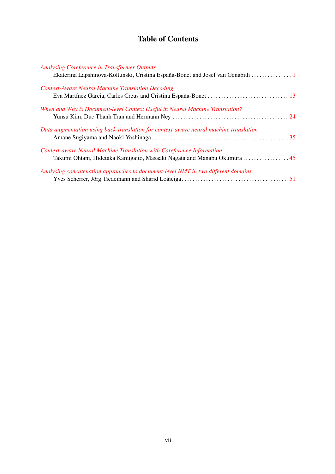# Table of Contents

| <b>Analysing Coreference in Transformer Outputs</b>                                                                                              |  |
|--------------------------------------------------------------------------------------------------------------------------------------------------|--|
| Ekaterina Lapshinova-Koltunski, Cristina España-Bonet and Josef van Genabith                                                                     |  |
| <b>Context-Aware Neural Machine Translation Decoding</b>                                                                                         |  |
|                                                                                                                                                  |  |
| When and Why is Document-level Context Useful in Neural Machine Translation?                                                                     |  |
| Data augmentation using back-translation for context-aware neural machine translation                                                            |  |
| Context-aware Neural Machine Translation with Coreference Information<br>Takumi Ohtani, Hidetaka Kamigaito, Masaaki Nagata and Manabu Okumura 45 |  |
| Analysing concatenation approaches to document-level NMT in two different domains                                                                |  |